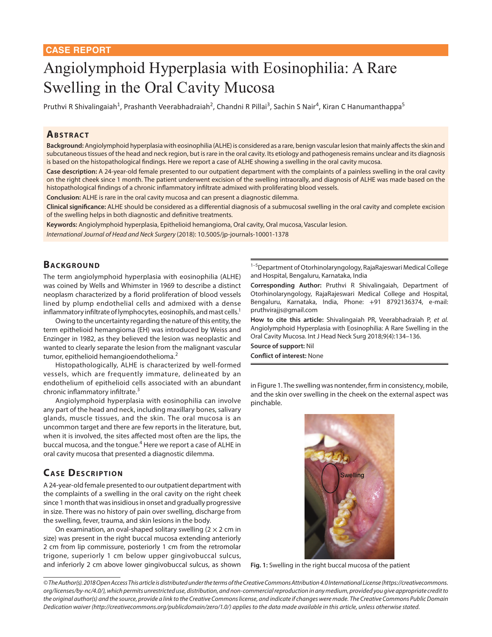# Angiolymphoid Hyperplasia with Eosinophilia: A Rare Swelling in the Oral Cavity Mucosa

Pruthvi R Shivalingaiah<sup>1</sup>, Prashanth Veerabhadraiah<sup>2</sup>, Chandni R Pillai<sup>3</sup>, Sachin S Nair<sup>4</sup>, Kiran C Hanumanthappa<sup>5</sup>

#### **ABSTRACT**

**Background:** Angiolymphoid hyperplasia with eosinophilia (ALHE) is considered as a rare, benign vascular lesion that mainly affects the skin and subcutaneous tissues of the head and neck region, but is rare in the oral cavity. Its etiology and pathogenesis remains unclear and its diagnosis is based on the histopathological findings. Here we report a case of ALHE showing a swelling in the oral cavity mucosa.

**Case description:** A 24-year-old female presented to our outpatient department with the complaints of a painless swelling in the oral cavity on the right cheek since 1 month. The patient underwent excision of the swelling intraorally, and diagnosis of ALHE was made based on the histopathological findings of a chronic inflammatory infiltrate admixed with proliferating blood vessels.

**Conclusion:** ALHE is rare in the oral cavity mucosa and can present a diagnostic dilemma.

**Clinical significance:** ALHE should be considered as a differential diagnosis of a submucosal swelling in the oral cavity and complete excision of the swelling helps in both diagnostic and definitive treatments.

**Keywords:** Angiolymphoid hyperplasia, Epithelioid hemangioma, Oral cavity, Oral mucosa, Vascular lesion. *International Journal of Head and Neck Surgery* (2018): 10.5005/jp-journals-10001-1378

## **BACKGROUND**

The term angiolymphoid hyperplasia with eosinophilia (ALHE) was coined by Wells and Whimster in 1969 to describe a distinct neoplasm characterized by a florid proliferation of blood vessels lined by plump endothelial cells and admixed with a dense inflammatory infiltrate of lymphocytes, eosinophils, and mast cells.<sup>1</sup>

Owing to the uncertainty regarding the nature of this entity, the term epithelioid hemangioma (EH) was introduced by Weiss and Enzinger in 1982, as they believed the lesion was neoplastic and wanted to clearly separate the lesion from the malignant vascular tumor, epithelioid hemangioendothelioma.<sup>2</sup>

Histopathologically, ALHE is characterized by well-formed vessels, which are frequently immature, delineated by an endothelium of epithelioid cells associated with an abundant chronic inflammatory infiltrate.<sup>3</sup>

Angiolymphoid hyperplasia with eosinophilia can involve any part of the head and neck, including maxillary bones, salivary glands, muscle tissues, and the skin. The oral mucosa is an uncommon target and there are few reports in the literature, but, when it is involved, the sites affected most often are the lips, the buccal mucosa, and the tongue.<sup>4</sup> Here we report a case of ALHE in oral cavity mucosa that presented a diagnostic dilemma.

# **CASE DESCRIPTION**

A 24-year-old female presented to our outpatient department with the complaints of a swelling in the oral cavity on the right cheek since 1 month that was insidious in onset and gradually progressive in size. There was no history of pain over swelling, discharge from the swelling, fever, trauma, and skin lesions in the body.

On examination, an oval-shaped solitary swelling  $(2 \times 2 \text{ cm in})$ size) was present in the right buccal mucosa extending anteriorly 2 cm from lip commissure, posteriorly 1 cm from the retromolar trigone, superiorly 1 cm below upper gingivobuccal sulcus, and inferiorly 2 cm above lower gingivobuccal sulcus, as shown <sup>1-5</sup>Department of Otorhinolaryngology, RajaRajeswari Medical College and Hospital, Bengaluru, Karnataka, India

**Corresponding Author:** Pruthvi R Shivalingaiah, Department of Otorhinolaryngology, RajaRajeswari Medical College and Hospital, Bengaluru, Karnataka, India, Phone: +91 8792136374, e-mail: pruthvirajjs@gmail.com

**How to cite this article:** Shivalingaiah PR, Veerabhadraiah P, *et al.* Angiolymphoid Hyperplasia with Eosinophilia: A Rare Swelling in the Oral Cavity Mucosa. Int J Head Neck Surg 2018;9(4):134–136.

**Source of support:** Nil **Conflict of interest:** None

in Figure 1. The swelling was nontender, firm in consistency, mobile, and the skin over swelling in the cheek on the external aspect was pinchable.



**Fig. 1:** Swelling in the right buccal mucosa of the patient

*<sup>©</sup> The Author(s). 2018 Open Access This article is distributed under the terms of the Creative Commons Attribution 4.0 International License (https://creativecommons. org/licenses/by-nc/4.0/), which permits unrestricted use, distribution, and non-commercial reproduction in any medium, provided you give appropriate credit to the original author(s) and the source, provide a link to the Creative Commons license, and indicate if changes were made. The Creative Commons Public Domain Dedication waiver (http://creativecommons.org/publicdomain/zero/1.0/) applies to the data made available in this article, unless otherwise stated.*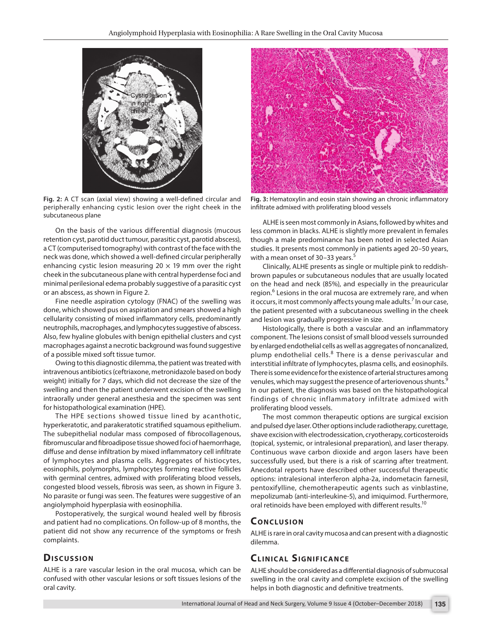

**Fig. 2:** A CT scan (axial view) showing a well-defined circular and peripherally enhancing cystic lesion over the right cheek in the subcutaneous plane

On the basis of the various differential diagnosis (mucous retention cyst, parotid duct tumour, parasitic cyst, parotid abscess), a CT (computerised tomography) with contrast of the face with the neck was done, which showed a well-defined circular peripherally enhancing cystic lesion measuring 20  $\times$  19 mm over the right cheek in the subcutaneous plane with central hyperdense foci and minimal perilesional edema probably suggestive of a parasitic cyst or an abscess, as shown in Figure 2.

Fine needle aspiration cytology (FNAC) of the swelling was done, which showed pus on aspiration and smears showed a high cellularity consisting of mixed inflammatory cells, predominantly neutrophils, macrophages, and lymphocytes suggestive of abscess. Also, few hyaline globules with benign epithelial clusters and cyst macrophages against a necrotic background was found suggestive of a possible mixed soft tissue tumor.

Owing to this diagnostic dilemma, the patient was treated with intravenous antibiotics (ceftriaxone, metronidazole based on body weight) initially for 7 days, which did not decrease the size of the swelling and then the patient underwent excision of the swelling intraorally under general anesthesia and the specimen was sent for histopathological examination (HPE).

The HPE sections showed tissue lined by acanthotic, hyperkeratotic, and parakeratotic stratified squamous epithelium. The subepithelial nodular mass composed of fibrocollagenous, fibromuscular and fibroadipose tissue showed foci of haemorrhage, diffuse and dense infiltration by mixed inflammatory cell infiltrate of lymphocytes and plasma cells. Aggregates of histiocytes, eosinophils, polymorphs, lymphocytes forming reactive follicles with germinal centres, admixed with proliferating blood vessels, congested blood vessels, fibrosis was seen, as shown in Figure 3. No parasite or fungi was seen. The features were suggestive of an angiolymphoid hyperplasia with eosinophilia.

Postoperatively, the surgical wound healed well by fibrosis and patient had no complications. On follow-up of 8 months, the patient did not show any recurrence of the symptoms or fresh complaints.

#### **Discussion**

ALHE is a rare vascular lesion in the oral mucosa, which can be confused with other vascular lesions or soft tissues lesions of the oral cavity.



**Fig. 3:** Hematoxylin and eosin stain showing an chronic inflammatory infiltrate admixed with proliferating blood vessels

ALHE is seen most commonly in Asians, followed by whites and less common in blacks. ALHE is slightly more prevalent in females though a male predominance has been noted in selected Asian studies. It presents most commonly in patients aged 20–50 years, with a mean onset of 30-33 years.<sup>5</sup>

Clinically, ALHE presents as single or multiple pink to reddishbrown papules or subcutaneous nodules that are usually located on the head and neck (85%), and especially in the preauricular region.<sup>6</sup> Lesions in the oral mucosa are extremely rare, and when it occurs, it most commonly affects young male adults.<sup>7</sup> In our case, the patient presented with a subcutaneous swelling in the cheek and lesion was gradually progressive in size.

Histologically, there is both a vascular and an inflammatory component. The lesions consist of small blood vessels surrounded by enlarged endothelial cells as well as aggregates of noncanalized, plump endothelial cells.<sup>8</sup> There is a dense perivascular and interstitial infiltrate of lymphocytes, plasma cells, and eosinophils. There is some evidence for the existence of arterial structures among venules, which may suggest the presence of arteriovenous shunts.<sup>9</sup> In our patient, the diagnosis was based on the histopathological findings of chronic inflammatory infiltrate admixed with proliferating blood vessels.

The most common therapeutic options are surgical excision and pulsed dye laser. Other options include radiotherapy, curettage, shave excision with electrodessication, cryotherapy, corticosteroids (topical, systemic, or intralesional preparation), and laser therapy. Continuous wave carbon dioxide and argon lasers have been successfully used, but there is a risk of scarring after treatment. Anecdotal reports have described other successful therapeutic options: intralesional interferon alpha-2a, indometacin farnesil, pentoxifylline, chemotherapeutic agents such as vinblastine, mepolizumab (anti-interleukine-5), and imiquimod. Furthermore, oral retinoids have been employed with different results.<sup>10</sup>

#### **CONCLUSION**

ALHE is rare in oral cavity mucosa and can present with a diagnostic dilemma.

## **CLINICAL SIGNIFICANCE**

ALHE should be considered as a differential diagnosis of submucosal swelling in the oral cavity and complete excision of the swelling helps in both diagnostic and definitive treatments.